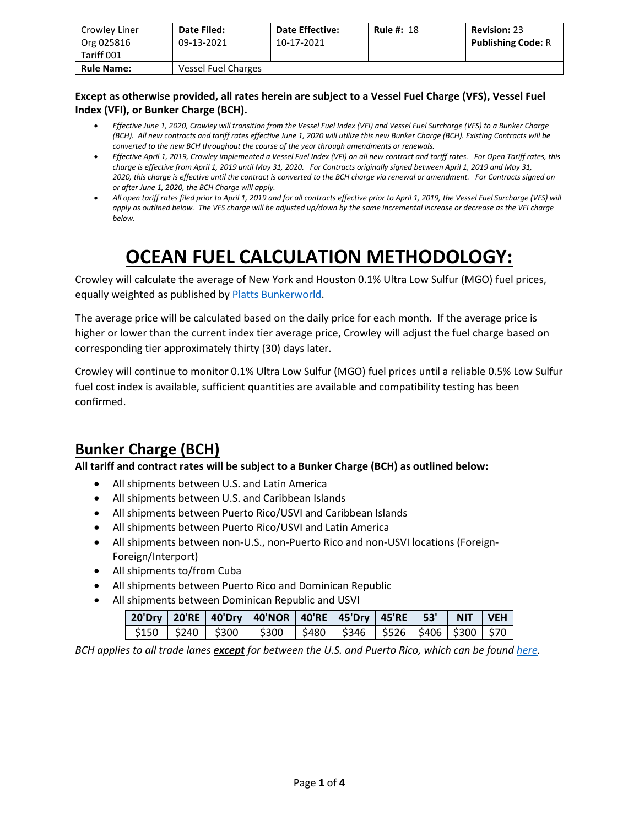| Crowley Liner<br>Org 025816<br>Tariff 001 | Date Filed:<br>09-13-2021 | <b>Date Effective:</b><br>10-17-2021 | <b>Rule #: 18</b> | <b>Revision: 23</b><br><b>Publishing Code: R</b> |
|-------------------------------------------|---------------------------|--------------------------------------|-------------------|--------------------------------------------------|
| <b>Rule Name:</b>                         | Vessel Fuel Charges       |                                      |                   |                                                  |

#### **Except as otherwise provided, all rates herein are subject to a Vessel Fuel Charge (VFS), Vessel Fuel Index (VFI), or Bunker Charge (BCH).**

- *Effective June 1, 2020, Crowley will transition from the Vessel Fuel Index (VFI) and Vessel Fuel Surcharge (VFS) to a Bunker Charge (BCH). All new contracts and tariff rates effective June 1, 2020 will utilize this new Bunker Charge (BCH). Existing Contracts will be converted to the new BCH throughout the course of the year through amendments or renewals.*
- *Effective April 1, 2019, Crowley implemented a Vessel Fuel Index (VFI) on all new contract and tariff rates. For Open Tariff rates, this charge is effective from April 1, 2019 until May 31, 2020. For Contracts originally signed between April 1, 2019 and May 31, 2020, this charge is effective until the contract is converted to the BCH charge via renewal or amendment. For Contracts signed on or after June 1, 2020, the BCH Charge will apply.*
- *All open tariff rates filed prior to April 1, 2019 and for all contracts effective prior to April 1, 2019, the Vessel Fuel Surcharge (VFS) will apply as outlined below. The VFS charge will be adjusted up/down by the same incremental increase or decrease as the VFI charge below.*

# **OCEAN FUEL CALCULATION METHODOLOGY:**

Crowley will calculate the average of New York and Houston 0.1% Ultra Low Sulfur (MGO) fuel prices, equally weighted as published b[y Platts Bunkerworld.](https://www.bunkerworld.com/)

The average price will be calculated based on the daily price for each month. If the average price is higher or lower than the current index tier average price, Crowley will adjust the fuel charge based on corresponding tier approximately thirty (30) days later.

Crowley will continue to monitor 0.1% Ultra Low Sulfur (MGO) fuel prices until a reliable 0.5% Low Sulfur fuel cost index is available, sufficient quantities are available and compatibility testing has been confirmed.

### **Bunker Charge (BCH)**

**All tariff and contract rates will be subject to a Bunker Charge (BCH) as outlined below:**

- All shipments between U.S. and Latin America
- All shipments between U.S. and Caribbean Islands
- All shipments between Puerto Rico/USVI and Caribbean Islands
- All shipments between Puerto Rico/USVI and Latin America
- All shipments between non-U.S., non-Puerto Rico and non-USVI locations (Foreign-Foreign/Interport)
- All shipments to/from Cuba
- All shipments between Puerto Rico and Dominican Republic
- All shipments between Dominican Republic and USVI

|  |  | 20'Dry   20'RE   40'Dry   40'NOR   40'RE   45'Dry   45'RE   53'   NIT   VEH                |  |  |  |
|--|--|--------------------------------------------------------------------------------------------|--|--|--|
|  |  | $\frac{1}{2}$ \$150   \$240   \$300   \$300   \$480   \$346   \$526   \$406   \$300   \$70 |  |  |  |

*BCH applies to all trade lanes except for between the U.S. and Puerto Rico, which can be found [here.](https://www.crowley.com/logistics/resources/rates-tariffs/stb/#18-1-vessel-fuel-surcharge-between-the-continental-us-and-puerto-rico)*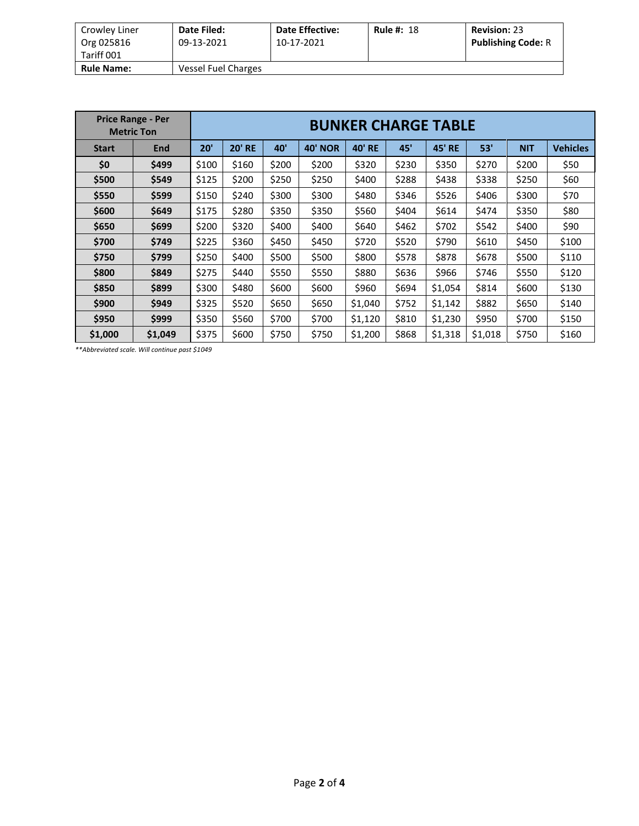| Crowley Liner<br>Org 025816 | Date Filed:<br>09-13-2021 | <b>Date Effective:</b><br>10-17-2021 | <b>Rule #: 18</b> | <b>Revision: 23</b><br><b>Publishing Code: R</b> |
|-----------------------------|---------------------------|--------------------------------------|-------------------|--------------------------------------------------|
| Tariff 001                  |                           |                                      |                   |                                                  |
| <b>Rule Name:</b>           | Vessel Fuel Charges       |                                      |                   |                                                  |

| <b>Price Range - Per</b><br><b>Metric Ton</b> |            | <b>BUNKER CHARGE TABLE</b> |               |       |                   |               |       |                  |         |            |                 |
|-----------------------------------------------|------------|----------------------------|---------------|-------|-------------------|---------------|-------|------------------|---------|------------|-----------------|
| <b>Start</b>                                  | <b>End</b> | 20'                        | <b>20' RE</b> | 40'   | 40'<br><b>NOR</b> | <b>40' RE</b> | 45'   | 45'<br><b>RE</b> | 53'     | <b>NIT</b> | <b>Vehicles</b> |
| \$0                                           | \$499      | \$100                      | \$160         | \$200 | \$200             | \$320         | \$230 | \$350            | \$270   | \$200      | \$50            |
| \$500                                         | \$549      | \$125                      | \$200         | \$250 | \$250             | \$400         | \$288 | \$438            | \$338   | \$250      | \$60            |
| \$550                                         | \$599      | \$150                      | \$240         | \$300 | \$300             | \$480         | \$346 | \$526            | \$406   | \$300      | \$70            |
| \$600                                         | \$649      | \$175                      | \$280         | \$350 | \$350             | \$560         | \$404 | \$614            | \$474   | \$350      | \$80            |
| \$650                                         | \$699      | \$200                      | \$320         | \$400 | \$400             | \$640         | \$462 | \$702            | \$542   | \$400      | \$90            |
| \$700                                         | \$749      | \$225                      | \$360         | \$450 | \$450             | \$720         | \$520 | \$790            | \$610   | \$450      | \$100           |
| \$750                                         | \$799      | \$250                      | \$400         | \$500 | \$500             | \$800         | \$578 | \$878            | \$678   | \$500      | \$110           |
| \$800                                         | \$849      | \$275                      | \$440         | \$550 | \$550             | \$880         | \$636 | \$966            | \$746   | \$550      | \$120           |
| \$850                                         | \$899      | \$300                      | \$480         | \$600 | \$600             | \$960         | \$694 | \$1,054          | \$814   | \$600      | \$130           |
| \$900                                         | \$949      | \$325                      | \$520         | \$650 | \$650             | \$1,040       | \$752 | \$1,142          | \$882   | \$650      | \$140           |
| \$950                                         | \$999      | \$350                      | \$560         | \$700 | \$700             | \$1,120       | \$810 | \$1,230          | \$950   | \$700      | \$150           |
| \$1,000                                       | \$1,049    | \$375                      | \$600         | \$750 | \$750             | \$1,200       | \$868 | \$1,318          | \$1,018 | \$750      | \$160           |

*\*\*Abbreviated scale. Will continue past \$1049*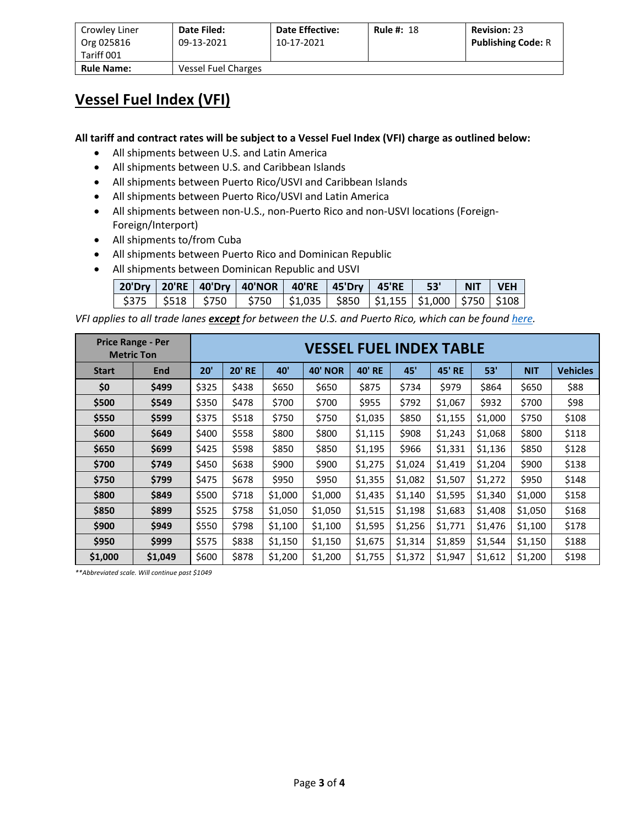| Crowley Liner     | Date Filed:         | <b>Date Effective:</b> | <b>Rule #: 18</b> | <b>Revision: 23</b>       |
|-------------------|---------------------|------------------------|-------------------|---------------------------|
| Org 025816        | 09-13-2021          | 10-17-2021             |                   | <b>Publishing Code: R</b> |
| Tariff 001        |                     |                        |                   |                           |
| <b>Rule Name:</b> | Vessel Fuel Charges |                        |                   |                           |

#### **Vessel Fuel Index (VFI)**

**All tariff and contract rates will be subject to a Vessel Fuel Index (VFI) charge as outlined below:**

- All shipments between U.S. and Latin America
- All shipments between U.S. and Caribbean Islands
- All shipments between Puerto Rico/USVI and Caribbean Islands
- All shipments between Puerto Rico/USVI and Latin America
- All shipments between non-U.S., non-Puerto Rico and non-USVI locations (Foreign-Foreign/Interport)
- All shipments to/from Cuba
- All shipments between Puerto Rico and Dominican Republic
- All shipments between Dominican Republic and USVI

|  | 20'Dry   20'RE   40'Dry   40'NOR   40'RE   45'Dry   45'RE   53'   NIT   VEH         |  |  |  |
|--|-------------------------------------------------------------------------------------|--|--|--|
|  | \$375   \$518   \$750   \$750   \$1,035   \$850   \$1,155   \$1,000   \$750   \$108 |  |  |  |

*VFI applies to all trade lanes except for between the U.S. and Puerto Rico, which can be found here.*

| <b>Price Range - Per</b><br><b>Metric Ton</b> |         | <b>VESSEL FUEL INDEX TABLE</b> |                      |         |                |               |         |               |         |            |                 |
|-----------------------------------------------|---------|--------------------------------|----------------------|---------|----------------|---------------|---------|---------------|---------|------------|-----------------|
| <b>Start</b>                                  | End     | 20'                            | <b>20' RE</b><br>40' |         | <b>40' NOR</b> | <b>40' RE</b> | 45'     | <b>45' RE</b> | 53'     | <b>NIT</b> | <b>Vehicles</b> |
| \$0                                           | \$499   | \$325                          | \$438                | \$650   | \$650          | \$875         | \$734   | \$979         | \$864   | \$650      | \$88            |
| \$500                                         | \$549   | \$350<br>\$478<br>\$700        |                      | \$700   | \$955          | \$792         | \$1,067 | \$932         | \$700   | \$98       |                 |
| \$550                                         | \$599   | \$375                          | \$518<br>\$750       |         | \$750          | \$1,035       | \$850   | \$1,155       | \$1,000 | \$750      | \$108           |
| \$600                                         | \$649   | \$400                          | \$558                | \$800   | \$800          | \$1,115       | \$908   | \$1,243       | \$1,068 | \$800      | \$118           |
| \$650                                         | \$699   | \$425                          | \$598                | \$850   | \$850          | \$1,195       | \$966   | \$1,331       | \$1,136 | \$850      | \$128           |
| \$700                                         | \$749   | \$450                          | \$638                | \$900   | \$900          | \$1,275       | \$1,024 | \$1,419       | \$1,204 | \$900      | \$138           |
| \$750                                         | \$799   | \$475                          | \$678                | \$950   | \$950          | \$1,355       | \$1,082 | \$1,507       | \$1,272 | \$950      | \$148           |
| \$800                                         | \$849   | \$500                          | \$718                | \$1,000 | \$1,000        | \$1,435       | \$1,140 | \$1,595       | \$1,340 | \$1,000    | \$158           |
| \$850                                         | \$899   | \$525                          | \$758                | \$1,050 | \$1,050        | \$1,515       | \$1,198 | \$1,683       | \$1,408 | \$1,050    | \$168           |
| \$900                                         | \$949   | \$550                          | \$798                | \$1,100 | \$1,100        | \$1,595       | \$1,256 | \$1,771       | \$1,476 | \$1,100    | \$178           |
| \$950                                         | \$999   | \$575                          | \$838                | \$1,150 | \$1,150        | \$1,675       | \$1,314 | \$1,859       | \$1,544 | \$1,150    | \$188           |
| \$1,000                                       | \$1,049 | \$600                          | \$878                | \$1,200 | \$1,200        | \$1,755       | \$1,372 | \$1,947       | \$1,612 | \$1,200    | \$198           |

*\*\*Abbreviated scale. Will continue past \$1049*